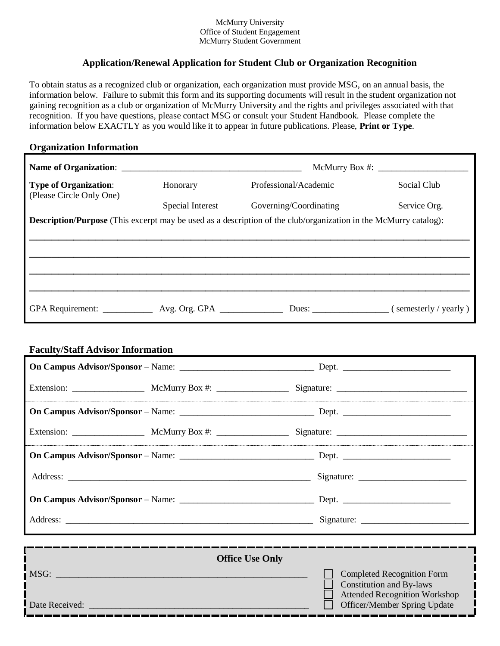#### McMurry University Office of Student Engagement McMurry Student Government

# **Application/Renewal Application for Student Club or Organization Recognition**

To obtain status as a recognized club or organization, each organization must provide MSG, on an annual basis, the information below. Failure to submit this form and its supporting documents will result in the student organization not gaining recognition as a club or organization of McMurry University and the rights and privileges associated with that recognition. If you have questions, please contact MSG or consult your Student Handbook. Please complete the information below EXACTLY as you would like it to appear in future publications. Please, **Print or Type**.

#### **Organization Information**

|                                                                                   |                  | McMurry Box $\#$ :                                                                                                      |                           |  |
|-----------------------------------------------------------------------------------|------------------|-------------------------------------------------------------------------------------------------------------------------|---------------------------|--|
| <b>Type of Organization:</b><br>(Please Circle Only One)                          | Honorary         | Professional/Academic                                                                                                   | Social Club               |  |
|                                                                                   | Special Interest | Governing/Coordinating                                                                                                  | Service Org.              |  |
|                                                                                   |                  | <b>Description/Purpose</b> (This excerpt may be used as a description of the club/organization in the McMurry catalog): |                           |  |
|                                                                                   |                  |                                                                                                                         |                           |  |
|                                                                                   |                  |                                                                                                                         |                           |  |
|                                                                                   |                  |                                                                                                                         |                           |  |
|                                                                                   |                  |                                                                                                                         |                           |  |
|                                                                                   |                  |                                                                                                                         |                           |  |
| GPA Requirement: _______________ Avg. Org. GPA __________________________________ |                  |                                                                                                                         | Dues: (semesterly/yearly) |  |

### **Faculty/Staff Advisor Information**

|                | <b>Office Use Only</b> |                                                                                                              |
|----------------|------------------------|--------------------------------------------------------------------------------------------------------------|
| MSG:           |                        | <b>Completed Recognition Form</b><br><b>Constitution and By-laws</b><br><b>Attended Recognition Workshop</b> |
| Date Received: |                        | Officer/Member Spring Update                                                                                 |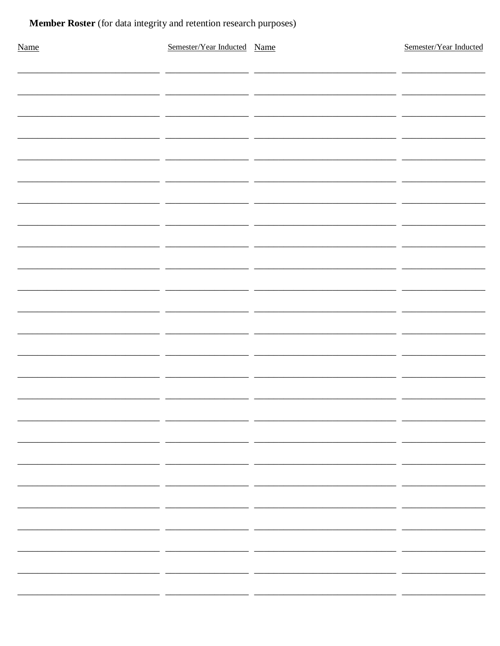# Member Roster (for data integrity and retention research purposes)

| Name | Semester/Year Inducted Name |        | Semester/Year Inducted   |
|------|-----------------------------|--------|--------------------------|
|      |                             |        |                          |
|      |                             |        |                          |
|      |                             |        |                          |
|      |                             | - 11   |                          |
|      |                             |        |                          |
|      | $\overline{a}$<br>÷.        | $\sim$ |                          |
|      |                             | ٠.     |                          |
|      |                             |        |                          |
|      |                             |        |                          |
|      |                             | ٠.     |                          |
|      | - -                         | — —    | <u>. на п</u>            |
|      |                             |        |                          |
|      |                             |        |                          |
|      |                             |        |                          |
|      |                             |        |                          |
|      |                             | - 1    |                          |
|      |                             |        |                          |
|      | - -                         |        | $\sim$                   |
|      |                             |        |                          |
|      |                             |        |                          |
|      |                             |        |                          |
|      |                             |        |                          |
|      |                             |        |                          |
|      |                             |        | -                        |
|      |                             |        |                          |
|      |                             |        | $\overline{\phantom{0}}$ |
|      |                             | - -    |                          |
|      | - -                         | - -    |                          |
|      |                             |        |                          |
|      |                             |        |                          |
|      |                             |        |                          |
|      |                             |        |                          |
|      |                             |        |                          |
|      |                             |        |                          |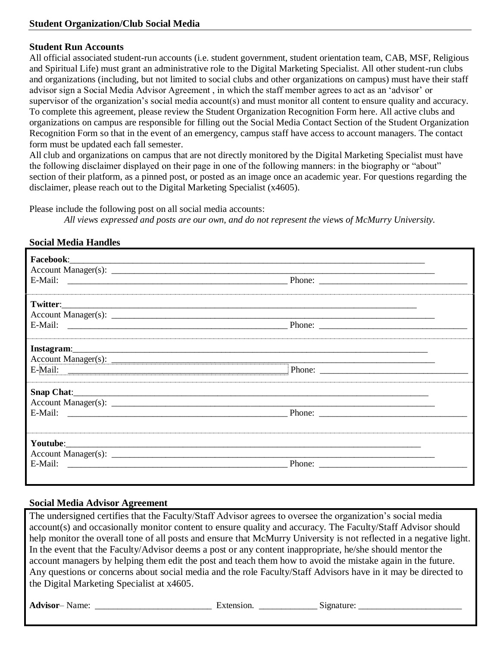### **Student Run Accounts**

All official associated student-run accounts (i.e. student government, student orientation team, CAB, MSF, Religious and Spiritual Life) must grant an administrative role to the Digital Marketing Specialist. All other student-run clubs and organizations (including, but not limited to social clubs and other organizations on campus) must have their staff advisor sign a Social Media Advisor Agreement , in which the staff member agrees to act as an 'advisor' or supervisor of the organization's social media account(s) and must monitor all content to ensure quality and accuracy. To complete this agreement, please review the Student Organization Recognition Form here. All active clubs and organizations on campus are responsible for filling out the Social Media Contact Section of the Student Organization Recognition Form so that in the event of an emergency, campus staff have access to account managers. The contact form must be updated each fall semester.

All club and organizations on campus that are not directly monitored by the Digital Marketing Specialist must have the following disclaimer displayed on their page in one of the following manners: in the biography or "about" section of their platform, as a pinned post, or posted as an image once an academic year. For questions regarding the disclaimer, please reach out to the Digital Marketing Specialist (x4605).

Please include the following post on all social media accounts:

*All views expressed and posts are our own, and do not represent the views of McMurry University.*

### **Social Media Handles**

| Twitter: |                                                                                                                                                                                                                                                                                                                                                                                                              |
|----------|--------------------------------------------------------------------------------------------------------------------------------------------------------------------------------------------------------------------------------------------------------------------------------------------------------------------------------------------------------------------------------------------------------------|
|          |                                                                                                                                                                                                                                                                                                                                                                                                              |
|          |                                                                                                                                                                                                                                                                                                                                                                                                              |
|          |                                                                                                                                                                                                                                                                                                                                                                                                              |
|          |                                                                                                                                                                                                                                                                                                                                                                                                              |
|          |                                                                                                                                                                                                                                                                                                                                                                                                              |
|          |                                                                                                                                                                                                                                                                                                                                                                                                              |
|          |                                                                                                                                                                                                                                                                                                                                                                                                              |
|          |                                                                                                                                                                                                                                                                                                                                                                                                              |
|          |                                                                                                                                                                                                                                                                                                                                                                                                              |
|          |                                                                                                                                                                                                                                                                                                                                                                                                              |
|          | Phone: $\frac{1}{\sqrt{1-\frac{1}{2}}\sqrt{1-\frac{1}{2}}\sqrt{1-\frac{1}{2}}\sqrt{1-\frac{1}{2}}\sqrt{1-\frac{1}{2}}\sqrt{1-\frac{1}{2}}\sqrt{1-\frac{1}{2}}\sqrt{1-\frac{1}{2}}\sqrt{1-\frac{1}{2}}\sqrt{1-\frac{1}{2}}\sqrt{1-\frac{1}{2}}\sqrt{1-\frac{1}{2}}\sqrt{1-\frac{1}{2}}\sqrt{1-\frac{1}{2}}\sqrt{1-\frac{1}{2}}\sqrt{1-\frac{1}{2}}\sqrt{1-\frac{1}{2}}\sqrt{1-\frac{1}{2}}\sqrt{1-\frac{1}{2$ |

# **Social Media Advisor Agreement**

The undersigned certifies that the Faculty/Staff Advisor agrees to oversee the organization's social media account(s) and occasionally monitor content to ensure quality and accuracy. The Faculty/Staff Advisor should help monitor the overall tone of all posts and ensure that McMurry University is not reflected in a negative light. In the event that the Faculty/Advisor deems a post or any content inappropriate, he/she should mentor the account managers by helping them edit the post and teach them how to avoid the mistake again in the future. Any questions or concerns about social media and the role Faculty/Staff Advisors have in it may be directed to the Digital Marketing Specialist at x4605.

**Advisor**– Name: \_\_\_\_\_\_\_\_\_\_\_\_\_\_\_\_\_\_\_\_\_\_\_\_\_\_ Extension. \_\_\_\_\_\_\_\_\_\_\_\_\_ Signature: \_\_\_\_\_\_\_\_\_\_\_\_\_\_\_\_\_\_\_\_\_\_\_